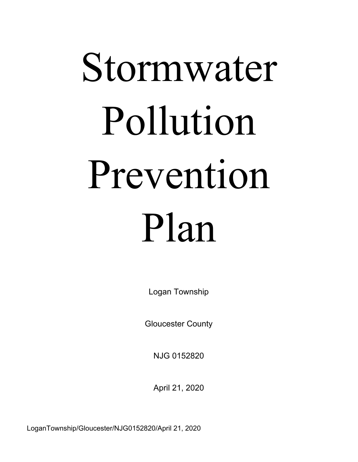# Stormwater Pollution Prevention Plan

Logan Township

Gloucester County

NJG 0152820

April 21, 2020

LoganTownship/Gloucester/NJG0152820/April 21, 2020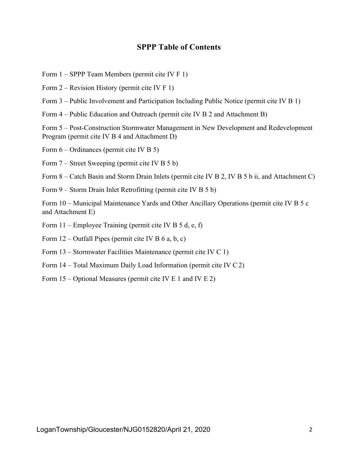#### **SPPP Table of Contents**

- Form 1 SPPP Team Members (permit cite IV F 1)
- Form 2 Revision History (permit cite IV F 1)
- Form 3 Public Involvement and Participation Including Public Notice (permit cite IV B 1)
- Form 4 Public Education and Outreach (permit cite IV B 2 and Attachment B)

Form 5 – Post-Construction Stormwater Management in New Development and Redevelopment Program (permit cite IV B 4 and Attachment D)

Form 6 – Ordinances (permit cite IV B 5)

Form 7 – Street Sweeping (permit cite IV B 5 b)

Form 8 – Catch Basin and Storm Drain Inlets (permit cite IV B 2, IV B 5 b ii, and Attachment C)

Form 9 – Storm Drain Inlet Retrofitting (permit cite IV B 5 b)

Form 10 – Municipal Maintenance Yards and Other Ancillary Operations (permit cite IV B 5 c and Attachment E)

- Form 11 Employee Training (permit cite IV B 5 d, e, f)
- Form  $12$  Outfall Pipes (permit cite IV B 6 a, b, c)
- Form 13 Stormwater Facilities Maintenance (permit cite IV C 1)
- Form 14 Total Maximum Daily Load Information (permit cite IV C 2)
- Form 15 Optional Measures (permit cite IV E 1 and IV E 2)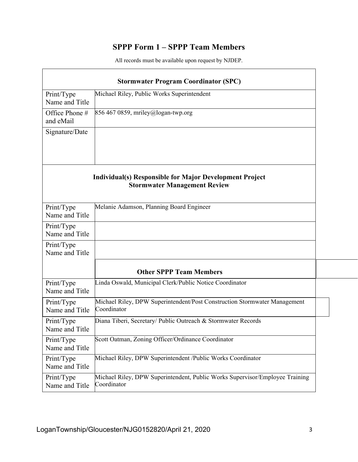# **SPPP Form 1 – SPPP Team Members**

| <b>Stormwater Program Coordinator (SPC)</b> |                                                                                                       |  |  |  |
|---------------------------------------------|-------------------------------------------------------------------------------------------------------|--|--|--|
| Print/Type<br>Name and Title                | Michael Riley, Public Works Superintendent                                                            |  |  |  |
| Office Phone #<br>and eMail                 | 856 467 0859, mriley@logan-twp.org                                                                    |  |  |  |
| Signature/Date                              |                                                                                                       |  |  |  |
|                                             |                                                                                                       |  |  |  |
|                                             | <b>Individual(s) Responsible for Major Development Project</b><br><b>Stormwater Management Review</b> |  |  |  |
| Print/Type<br>Name and Title                | Melanie Adamson, Planning Board Engineer                                                              |  |  |  |
| Print/Type<br>Name and Title                |                                                                                                       |  |  |  |
| Print/Type<br>Name and Title                |                                                                                                       |  |  |  |
|                                             | <b>Other SPPP Team Members</b>                                                                        |  |  |  |
| Print/Type<br>Name and Title                | Linda Oswald, Municipal Clerk/Public Notice Coordinator                                               |  |  |  |
| Print/Type<br>Name and Title                | Michael Riley, DPW Superintendent/Post Construction Stormwater Management<br>Coordinator              |  |  |  |
| Print/Type<br>Name and Title                | Diana Tiberi, Secretary/ Public Outreach & Stormwater Records                                         |  |  |  |
| Print/Type<br>Name and Title                | Scott Oatman, Zoning Officer/Ordinance Coordinator                                                    |  |  |  |
| Print/Type<br>Name and Title                | Michael Riley, DPW Superintendent /Public Works Coordinator                                           |  |  |  |
| Print/Type<br>Name and Title                | Michael Riley, DPW Superintendent, Public Works Supervisor/Employee Training<br>Coordinator           |  |  |  |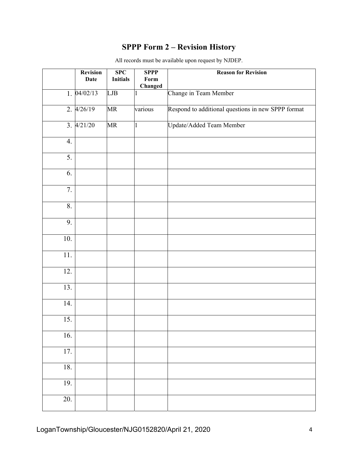# **SPPP Form 2 – Revision History**

|                   | <b>Revision</b><br><b>Date</b> | SPC<br><b>Initials</b> | <b>SPPP</b><br>Form<br>Changed | <b>Reason for Revision</b>                         |
|-------------------|--------------------------------|------------------------|--------------------------------|----------------------------------------------------|
|                   | 1.04/02/13                     | LJB                    |                                | Change in Team Member                              |
|                   | 2.4/26/19                      | MR                     | various                        | Respond to additional questions in new SPPP format |
|                   | 3.4/21/20                      | MR                     | 1                              | Update/Added Team Member                           |
| 4.                |                                |                        |                                |                                                    |
| 5.                |                                |                        |                                |                                                    |
| 6.                |                                |                        |                                |                                                    |
| 7.                |                                |                        |                                |                                                    |
| 8.                |                                |                        |                                |                                                    |
| 9.                |                                |                        |                                |                                                    |
| 10.               |                                |                        |                                |                                                    |
| 11.               |                                |                        |                                |                                                    |
| 12.               |                                |                        |                                |                                                    |
| 13.               |                                |                        |                                |                                                    |
| 14.               |                                |                        |                                |                                                    |
| $\overline{15}$ . |                                |                        |                                |                                                    |
| 16.               |                                |                        |                                |                                                    |
| $\overline{17}$ . |                                |                        |                                |                                                    |
| 18.               |                                |                        |                                |                                                    |
| 19.               |                                |                        |                                |                                                    |
| 20.               |                                |                        |                                |                                                    |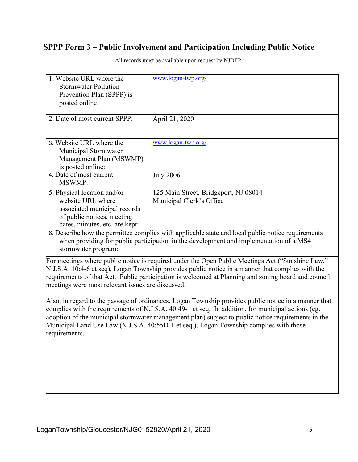#### **SPPP Form 3 – Public Involvement and Participation Including Public Notice**

| 1. Website URL where the<br><b>Stormwater Pollution</b><br>Prevention Plan (SPPP) is<br>posted online:                                           | www.logan-twp.org/                                                                                |
|--------------------------------------------------------------------------------------------------------------------------------------------------|---------------------------------------------------------------------------------------------------|
| 2. Date of most current SPPP:                                                                                                                    | April 21, 2020                                                                                    |
| 3. Website URL where the<br>Municipal Stormwater<br>Management Plan (MSWMP)<br>is posted online:                                                 | www.logan-twp.org/                                                                                |
| 4. Date of most current<br><b>MSWMP:</b>                                                                                                         | <b>July 2006</b>                                                                                  |
| 5. Physical location and/or<br>website URL where<br>associated municipal records<br>of public notices, meeting<br>dates, minutes, etc. are kept: | 125 Main Street, Bridgeport, NJ 08014<br>Municipal Clerk's Office                                 |
|                                                                                                                                                  | 6. Describe how the permittee complies with applicable state and local public notice requirements |

All records must be available upon request by NJDEP.

when providing for public participation in the development and implementation of a MS4 stormwater program:

For meetings where public notice is required under the Open Public Meetings Act ("Sunshine Law," N.J.S.A. 10:4-6 et seq), Logan Township provides public notice in a manner that complies with the requirements of that Act. Public participation is welcomed at Planning and zoning board and council meetings were most relevant issues are discussed.

Also, in regard to the passage of ordinances, Logan Township provides public notice in a manner that complies with the requirements of N.J.S.A. 40:49-1 et seq. In addition, for municipal actions (eg. adoption of the municipal stormwater management plan) subject to public notice requirements in the Municipal Land Use Law (N.J.S.A. 40:55D-1 et seq.), Logan Township complies with those requirements.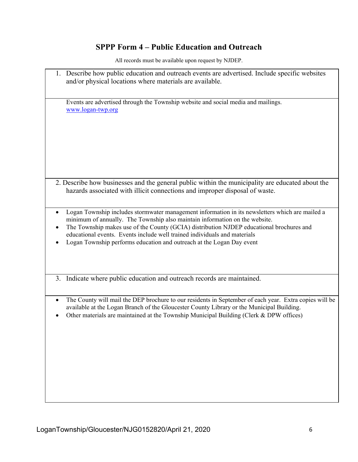## **SPPP Form 4 – Public Education and Outreach**

| 1. Describe how public education and outreach events are advertised. Include specific websites<br>and/or physical locations where materials are available.                                                                                                                                                                                                                                                                                    |
|-----------------------------------------------------------------------------------------------------------------------------------------------------------------------------------------------------------------------------------------------------------------------------------------------------------------------------------------------------------------------------------------------------------------------------------------------|
| Events are advertised through the Township website and social media and mailings.<br>www.logan-twp.org                                                                                                                                                                                                                                                                                                                                        |
| 2. Describe how businesses and the general public within the municipality are educated about the<br>hazards associated with illicit connections and improper disposal of waste.                                                                                                                                                                                                                                                               |
| Logan Township includes stormwater management information in its newsletters which are mailed a<br>$\bullet$<br>minimum of annually. The Township also maintain information on the website.<br>The Township makes use of the County (GCIA) distribution NJDEP educational brochures and<br>educational events. Events include well trained individuals and materials<br>Logan Township performs education and outreach at the Logan Day event |
| 3. Indicate where public education and outreach records are maintained.                                                                                                                                                                                                                                                                                                                                                                       |
| The County will mail the DEP brochure to our residents in September of each year. Extra copies will be<br>$\bullet$<br>available at the Logan Branch of the Gloucester County Library or the Municipal Building.<br>Other materials are maintained at the Township Municipal Building (Clerk & DPW offices)                                                                                                                                   |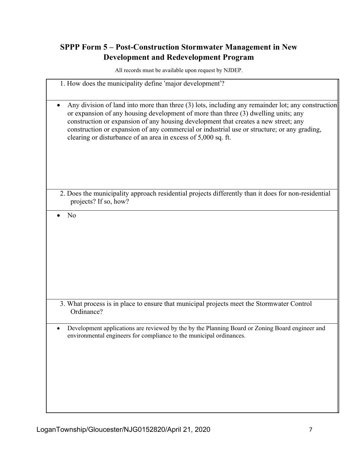## **SPPP Form 5 – Post-Construction Stormwater Management in New Development and Redevelopment Program**

All records must be available upon request by NJDEP.

| 1. How does the municipality define 'major development'?                                                                                                                                                                                                                                                                                                                                                                                       |
|------------------------------------------------------------------------------------------------------------------------------------------------------------------------------------------------------------------------------------------------------------------------------------------------------------------------------------------------------------------------------------------------------------------------------------------------|
| Any division of land into more than three (3) lots, including any remainder lot; any construction<br>or expansion of any housing development of more than three (3) dwelling units; any<br>construction or expansion of any housing development that creates a new street; any<br>construction or expansion of any commercial or industrial use or structure; or any grading,<br>clearing or disturbance of an area in excess of 5,000 sq. ft. |
| 2. Does the municipality approach residential projects differently than it does for non-residential<br>projects? If so, how?                                                                                                                                                                                                                                                                                                                   |
| No                                                                                                                                                                                                                                                                                                                                                                                                                                             |
| 3. What process is in place to ensure that municipal projects meet the Stormwater Control<br>Ordinance?                                                                                                                                                                                                                                                                                                                                        |
| Development applications are reviewed by the by the Planning Board or Zoning Board engineer and<br>environmental engineers for compliance to the municipal ordinances.                                                                                                                                                                                                                                                                         |

 $\blacksquare$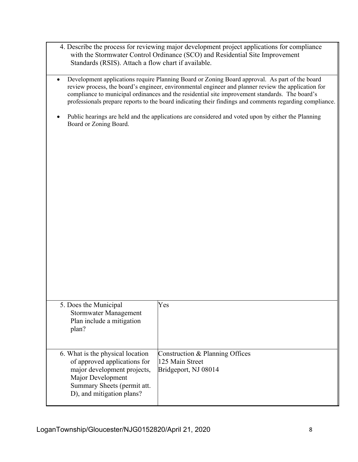- 4. Describe the process for reviewing major development project applications for compliance with the Stormwater Control Ordinance (SCO) and Residential Site Improvement Standards (RSIS). Attach a flow chart if available.
- Development applications require Planning Board or Zoning Board approval. As part of the board review process, the board's engineer, environmental engineer and planner review the application for compliance to municipal ordinances and the residential site improvement standards. The board's professionals prepare reports to the board indicating their findings and comments regarding compliance.
- Public hearings are held and the applications are considered and voted upon by either the Planning Board or Zoning Board.

| 5. Does the Municipal<br>Stormwater Management<br>Plan include a mitigation<br>plan?                                                                                             | Yes                                                                        |
|----------------------------------------------------------------------------------------------------------------------------------------------------------------------------------|----------------------------------------------------------------------------|
| 6. What is the physical location<br>of approved applications for<br>major development projects,<br>Major Development<br>Summary Sheets (permit att.<br>D), and mitigation plans? | Construction & Planning Offices<br>125 Main Street<br>Bridgeport, NJ 08014 |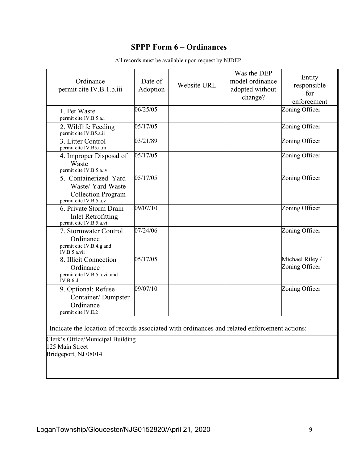## **SPPP Form 6 – Ordinances**

| Ordinance<br>permit cite IV.B.1.b.iii                                                             | Date of<br>Adoption | Website URL | Was the DEP<br>model ordinance<br>adopted without<br>change? | Entity<br>responsible<br>for<br>enforcement |
|---------------------------------------------------------------------------------------------------|---------------------|-------------|--------------------------------------------------------------|---------------------------------------------|
| 1. Pet Waste<br>permit cite IV.B.5.a.i                                                            | 06/25/05            |             |                                                              | Zoning Officer                              |
| 2. Wildlife Feeding<br>permit cite IV.B5.a.ii                                                     | 05/17/05            |             |                                                              | Zoning Officer                              |
| 3. Litter Control<br>permit cite IV.B5.a.iii                                                      | 03/21/89            |             |                                                              | Zoning Officer                              |
| 4. Improper Disposal of<br>Waste<br>permit cite IV.B.5.a.iv                                       | 05/17/05            |             |                                                              | Zoning Officer                              |
| 5. Containerized Yard<br>Waste/ Yard Waste<br><b>Collection Program</b><br>permit cite IV.B.5.a.v | 05/17/05            |             |                                                              | Zoning Officer                              |
| 6. Private Storm Drain<br><b>Inlet Retrofitting</b><br>permit cite IV.B.5.a.vi                    | 09/07/10            |             |                                                              | Zoning Officer                              |
| 7. Stormwater Control<br>Ordinance<br>permit cite IV.B.4.g and<br>IV.B.5.a.vii                    | 07/24/06            |             |                                                              | Zoning Officer                              |
| 8. Illicit Connection<br>Ordinance<br>permit cite IV.B.5.a.vii and<br><b>IV.B.6.d</b>             | 05/17/05            |             |                                                              | Michael Riley/<br>Zoning Officer            |
| 9. Optional: Refuse<br>Container/Dumpster<br>Ordinance<br>permit cite IV.E.2                      | 09/07/10            |             |                                                              | Zoning Officer                              |
|                                                                                                   |                     |             |                                                              |                                             |

All records must be available upon request by NJDEP.

Indicate the location of records associated with ordinances and related enforcement actions:

Clerk's Office/Municipal Building 125 Main Street Bridgeport, NJ 08014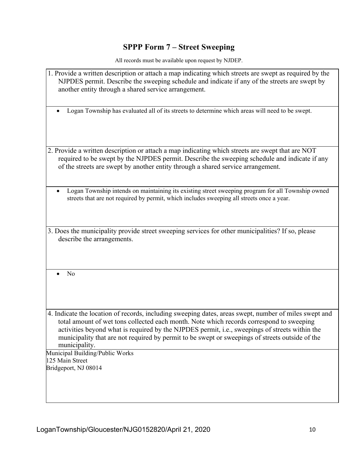# **SPPP Form 7 – Street Sweeping**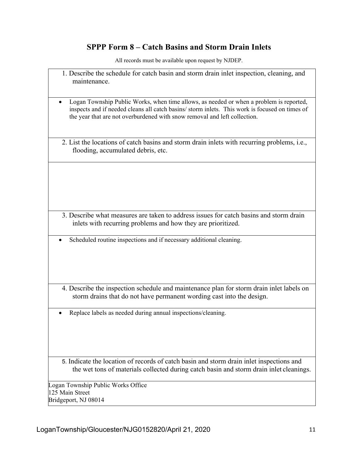## **SPPP Form 8 – Catch Basins and Storm Drain Inlets**

| 1. Describe the schedule for catch basin and storm drain inlet inspection, cleaning, and<br>maintenance.                                                                                                                                                              |
|-----------------------------------------------------------------------------------------------------------------------------------------------------------------------------------------------------------------------------------------------------------------------|
| Logan Township Public Works, when time allows, as needed or when a problem is reported,<br>inspects and if needed cleans all catch basins/storm inlets. This work is focused on times of<br>the year that are not overburdened with snow removal and left collection. |
| 2. List the locations of catch basins and storm drain inlets with recurring problems, i.e.,<br>flooding, accumulated debris, etc.                                                                                                                                     |
|                                                                                                                                                                                                                                                                       |
|                                                                                                                                                                                                                                                                       |
| 3. Describe what measures are taken to address issues for catch basins and storm drain<br>inlets with recurring problems and how they are prioritized.                                                                                                                |
| Scheduled routine inspections and if necessary additional cleaning.                                                                                                                                                                                                   |
| 4. Describe the inspection schedule and maintenance plan for storm drain inlet labels on<br>storm drains that do not have permanent wording cast into the design.                                                                                                     |
| Replace labels as needed during annual inspections/cleaning.                                                                                                                                                                                                          |
| 5. Indicate the location of records of catch basin and storm drain inlet inspections and<br>the wet tons of materials collected during catch basin and storm drain inlet cleanings.                                                                                   |
| Logan Township Public Works Office<br>125 Main Street<br>Bridgeport, NJ 08014                                                                                                                                                                                         |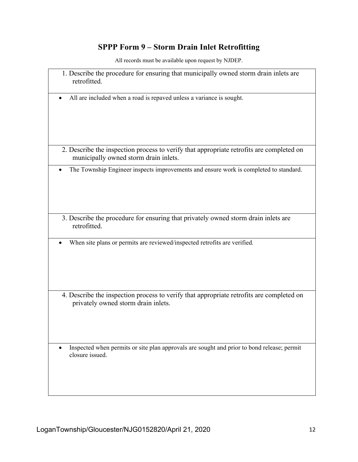# **SPPP Form 9 – Storm Drain Inlet Retrofitting**

| 1. Describe the procedure for ensuring that municipally owned storm drain inlets are<br>retrofitted.                              |
|-----------------------------------------------------------------------------------------------------------------------------------|
| All are included when a road is repaved unless a variance is sought.                                                              |
| 2. Describe the inspection process to verify that appropriate retrofits are completed on<br>municipally owned storm drain inlets. |
| The Township Engineer inspects improvements and ensure work is completed to standard.                                             |
| 3. Describe the procedure for ensuring that privately owned storm drain inlets are<br>retrofitted.                                |
| When site plans or permits are reviewed/inspected retrofits are verified.                                                         |
| 4. Describe the inspection process to verify that appropriate retrofits are completed on<br>privately owned storm drain inlets.   |
| Inspected when permits or site plan approvals are sought and prior to bond release; permit<br>٠<br>closure issued.                |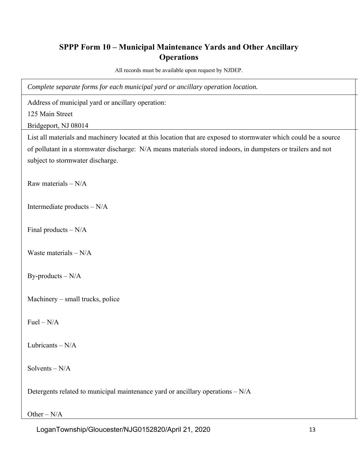## **SPPP Form 10 – Municipal Maintenance Yards and Other Ancillary Operations**

All records must be available upon request by NJDEP.

*Complete separate forms for each municipal yard or ancillary operation location.* 

Address of municipal yard or ancillary operation:

125 Main Street

Bridgeport, NJ 08014

List all materials and machinery located at this location that are exposed to stormwater which could be a source of pollutant in a stormwater discharge: N/A means materials stored indoors, in dumpsters or trailers and not subject to stormwater discharge.

Raw materials  $- N/A$ 

Intermediate products – N/A

Final products – N/A

Waste materials – N/A

By-products – N/A

Machinery – small trucks, police

 $Fuel - N/A$ 

Lubricants – N/A

Solvents – N/A

Detergents related to municipal maintenance yard or ancillary operations – N/A

Other – N/A

LoganTownship/Gloucester/NJG0152820/April 21, 2020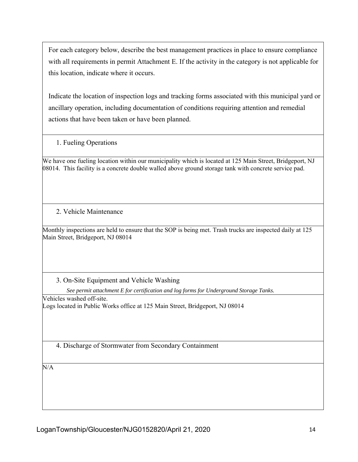For each category below, describe the best management practices in place to ensure compliance with all requirements in permit Attachment E. If the activity in the category is not applicable for this location, indicate where it occurs.

Indicate the location of inspection logs and tracking forms associated with this municipal yard or ancillary operation, including documentation of conditions requiring attention and remedial actions that have been taken or have been planned.

1. Fueling Operations

We have one fueling location within our municipality which is located at 125 Main Street, Bridgeport, NJ 08014. This facility is a concrete double walled above ground storage tank with concrete service pad.

2. Vehicle Maintenance

Monthly inspections are held to ensure that the SOP is being met. Trash trucks are inspected daily at 125 Main Street, Bridgeport, NJ 08014

3. On-Site Equipment and Vehicle Washing

*See permit attachment E for certification and log forms for Underground Storage Tanks.* 

Vehicles washed off-site. Logs located in Public Works office at 125 Main Street, Bridgeport, NJ 08014

4. Discharge of Stormwater from Secondary Containment

N/A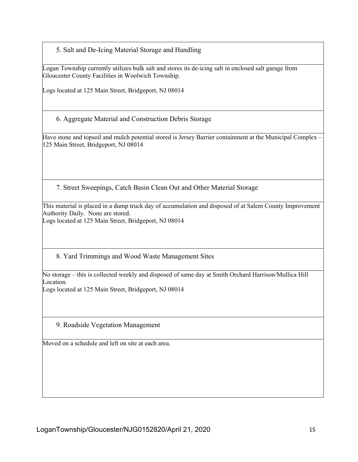5. Salt and De-Icing Material Storage and Handling

Logan Township currently utilizes bulk salt and stores its de-icing salt in enclosed salt garage from Gloucester County Facilities in Woolwich Township.

Logs located at 125 Main Street, Bridgeport, NJ 08014

6. Aggregate Material and Construction Debris Storage

Have stone and topsoil and mulch potential stored is Jersey Barrier containment at the Municipal Complex – 125 Main Street, Bridgeport, NJ 08014

7. Street Sweepings, Catch Basin Clean Out and Other Material Storage

This material is placed in a dump truck day of accumulation and disposed of at Salem County Improvement Authority Daily. None are stored.

Logs located at 125 Main Street, Bridgeport, NJ 08014

8. Yard Trimmings and Wood Waste Management Sites

No storage – this is collected weekly and disposed of same day at Smith Orchard Harrison/Mullica Hill Location.

Logs located at 125 Main Street, Bridgeport, NJ 08014

9. Roadside Vegetation Management

Moved on a schedule and left on site at each area.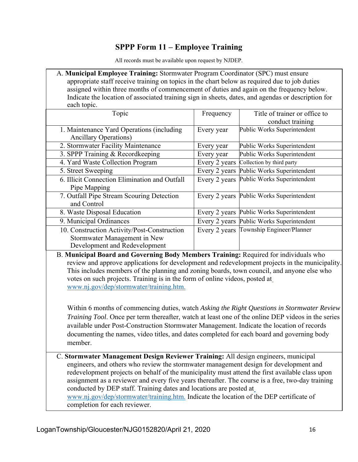## **SPPP Form 11 – Employee Training**

All records must be available upon request by NJDEP.

A. **Municipal Employee Training:** Stormwater Program Coordinator (SPC) must ensure appropriate staff receive training on topics in the chart below as required due to job duties assigned within three months of commencement of duties and again on the frequency below. Indicate the location of associated training sign in sheets, dates, and agendas or description for each topic.

| Topic                                         | Frequency     | Title of trainer or office to             |
|-----------------------------------------------|---------------|-------------------------------------------|
|                                               |               | conduct training                          |
| 1. Maintenance Yard Operations (including)    | Every year    | Public Works Superintendent               |
| <b>Ancillary Operations)</b>                  |               |                                           |
| 2. Stormwater Facility Maintenance            | Every year    | Public Works Superintendent               |
| 3. SPPP Training & Recordkeeping              | Every year    | Public Works Superintendent               |
| 4. Yard Waste Collection Program              | Every 2 years | Collection by third party                 |
| 5. Street Sweeping                            | Every 2 years | Public Works Superintendent               |
| 6. Illicit Connection Elimination and Outfall | Every 2 years | Public Works Superintendent               |
| Pipe Mapping                                  |               |                                           |
| 7. Outfall Pipe Stream Scouring Detection     | Every 2 years | Public Works Superintendent               |
| and Control                                   |               |                                           |
| 8. Waste Disposal Education                   | Every 2 years | Public Works Superintendent               |
| 9. Municipal Ordinances                       |               | Every 2 years Public Works Superintendent |
| 10. Construction Activity/Post-Construction   |               | Every 2 years Township Engineer/Planner   |
| Stormwater Management in New                  |               |                                           |
| Development and Redevelopment                 |               |                                           |

B. **Municipal Board and Governing Body Members Training:** Required for individuals who review and approve applications for development and redevelopment projects in the municipality. This includes members of the planning and zoning boards, town council, and anyone else who votes on such projects. Training is in the form of online videos, posted at www.nj.gov/dep/stormwater/training.htm.

Within 6 months of commencing duties, watch *Asking the Right Questions in Stormwater Review Training Tool*. Once per term thereafter, watch at least one of the online DEP videos in the series available under Post-Construction Stormwater Management. Indicate the location of records documenting the names, video titles, and dates completed for each board and governing body member.

C. **Stormwater Management Design Reviewer Training:** All design engineers, municipal engineers, and others who review the stormwater management design for development and redevelopment projects on behalf of the municipality must attend the first available class upon assignment as a reviewer and every five years thereafter. The course is a free, two-day training conducted by DEP staff. Training dates and locations are posted at www.nj.gov/dep/stormwater/training.htm. Indicate the location of the DEP certificate of completion for each reviewer.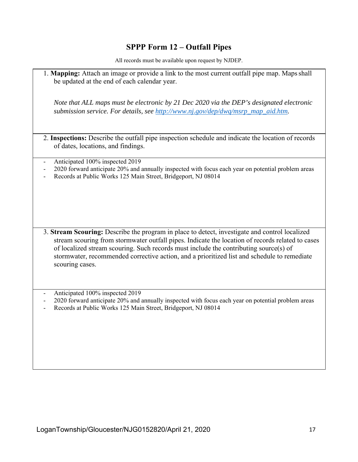## **SPPP Form 12 – Outfall Pipes**

All records must be available upon request by NJDEP.

1. **Mapping:** Attach an image or provide a link to the most current outfall pipe map. Maps shall be updated at the end of each calendar year. *Note that ALL maps must be electronic by 21 Dec 2020 via the DEP's designated electronic submission service. For details, see http://www.nj.gov/dep/dwq/msrp\_map\_aid.htm.*  2. **Inspections:** Describe the outfall pipe inspection schedule and indicate the location of records of dates, locations, and findings. Anticipated 100% inspected 2019 - 2020 forward anticipate 20% and annually inspected with focus each year on potential problem areas Records at Public Works 125 Main Street, Bridgeport, NJ 08014 3. **Stream Scouring:** Describe the program in place to detect, investigate and control localized stream scouring from stormwater outfall pipes. Indicate the location of records related to cases of localized stream scouring. Such records must include the contributing source(s) of stormwater, recommended corrective action, and a prioritized list and schedule to remediate scouring cases. Anticipated 100% inspected 2019 - 2020 forward anticipate 20% and annually inspected with focus each year on potential problem areas Records at Public Works 125 Main Street, Bridgeport, NJ 08014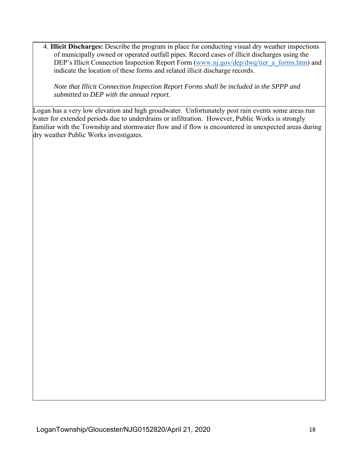4. **Illicit Discharges:** Describe the program in place for conducting visual dry weather inspections of municipally owned or operated outfall pipes. Record cases of illicit discharges using the DEP's Illicit Connection Inspection Report Form (www.nj.gov/dep/dwq/tier\_a\_forms.htm) and indicate the location of these forms and related illicit discharge records.

*Note that Illicit Connection Inspection Report Forms shall be included in the SPPP and submitted to DEP with the annual report.* 

Logan has a very low elevation and high groudwater. Unfortunately post rain events some areas run water for extended periods due to underdrains or infiltration. However, Public Works is strongly familiar with the Township and stormwater flow and if flow is encountered in unexpected areas during dry weather Public Works investigates.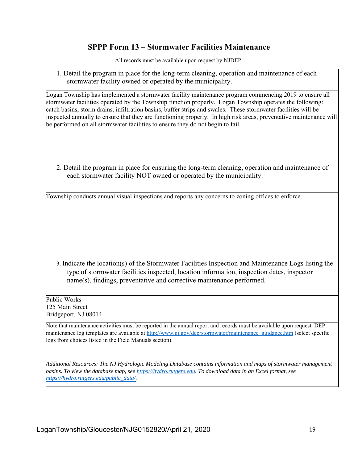#### **SPPP Form 13 – Stormwater Facilities Maintenance**

All records must be available upon request by NJDEP.

1. Detail the program in place for the long-term cleaning, operation and maintenance of each stormwater facility owned or operated by the municipality.

Logan Township has implemented a stormwater facility maintenance program commencing 2019 to ensure all stormwater facilities operated by the Township function properly. Logan Township operates the following: catch basins, storm drains, infiltration basins, buffer strips and swales. These stormwater facilities will be inspected annually to ensure that they are functioning properly. In high risk areas, preventative maintenance will be performed on all stormwater facilities to ensure they do not begin to fail.

2. Detail the program in place for ensuring the long-term cleaning, operation and maintenance of each stormwater facility NOT owned or operated by the municipality.

Township conducts annual visual inspections and reports any concerns to zoning offices to enforce.

3. Indicate the location(s) of the Stormwater Facilities Inspection and Maintenance Logs listing the type of stormwater facilities inspected, location information, inspection dates, inspector name(s), findings, preventative and corrective maintenance performed.

Public Works 125 Main Street Bridgeport, NJ 08014

Note that maintenance activities must be reported in the annual report and records must be available upon request. DEP maintenance log templates are available at http://www.nj.gov/dep/stormwater/maintenance\_guidance.htm (select specific logs from choices listed in the Field Manuals section).

*Additional Resources: The NJ Hydrologic Modeling Database contains information and maps of stormwater management basins. To view the database map, see https://hydro.rutgers.edu. To download data in an Excel format, see https://hydro.rutgers.edu/public\_data/.*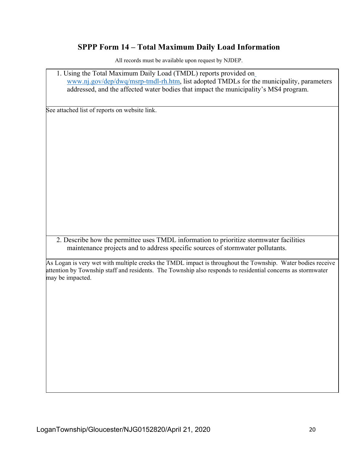#### **SPPP Form 14 – Total Maximum Daily Load Information**

All records must be available upon request by NJDEP.

1. Using the Total Maximum Daily Load (TMDL) reports provided on www.nj.gov/dep/dwq/msrp-tmdl-rh.htm, list adopted TMDLs for the municipality, parameters addressed, and the affected water bodies that impact the municipality's MS4 program. See attached list of reports on website link. 2. Describe how the permittee uses TMDL information to prioritize stormwater facilities maintenance projects and to address specific sources of stormwater pollutants. As Logan is very wet with multiple creeks the TMDL impact is throughout the Township. Water bodies receive attention by Township staff and residents. The Township also responds to residential concerns as stormwater may be impacted.